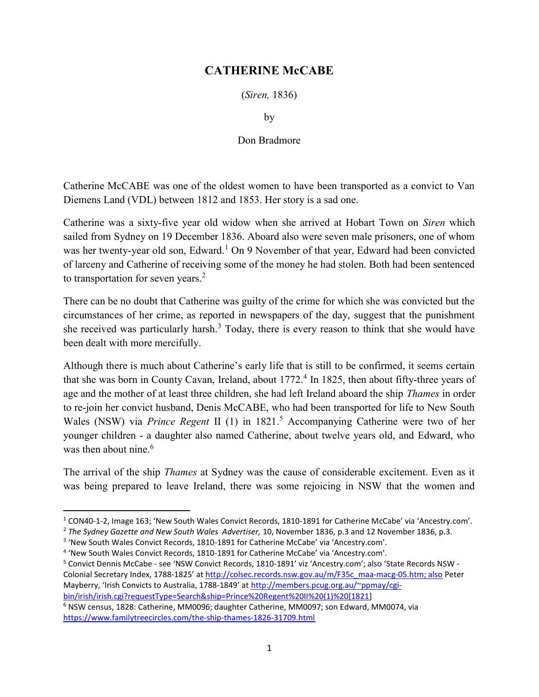## CATHERINE McCABE

(Siren, 1836)

by

## Don Bradmore

Catherine McCABE was one of the oldest women to have been transported as a convict to Van Diemens Land (VDL) between 1812 and 1853. Her story is a sad one.

Catherine was a sixty-five year old widow when she arrived at Hobart Town on Siren which sailed from Sydney on 19 December 1836. Aboard also were seven male prisoners, one of whom was her twenty-year old son, Edward.<sup>1</sup> On 9 November of that year, Edward had been convicted of larceny and Catherine of receiving some of the money he had stolen. Both had been sentenced to transportation for seven years. $2$ 

There can be no doubt that Catherine was guilty of the crime for which she was convicted but the circumstances of her crime, as reported in newspapers of the day, suggest that the punishment she received was particularly harsh.<sup>3</sup> Today, there is every reason to think that she would have been dealt with more mercifully.

Although there is much about Catherine's early life that is still to be confirmed, it seems certain that she was born in County Cavan, Ireland, about 1772.<sup>4</sup> In 1825, then about fifty-three years of age and the mother of at least three children, she had left Ireland aboard the ship Thames in order to re-join her convict husband, Denis McCABE, who had been transported for life to New South Wales (NSW) via Prince Regent II  $(1)$  in 1821.<sup>5</sup> Accompanying Catherine were two of her younger children - a daughter also named Catherine, about twelve years old, and Edward, who was then about nine.<sup>6</sup>

The arrival of the ship *Thames* at Sydney was the cause of considerable excitement. Even as it was being prepared to leave Ireland, there was some rejoicing in NSW that the women and

 $\overline{a}$ 

<sup>&</sup>lt;sup>1</sup> CON40-1-2, Image 163; 'New South Wales Convict Records, 1810-1891 for Catherine McCabe' via 'Ancestry.com'.

<sup>&</sup>lt;sup>2</sup> The Sydney Gazette and New South Wales Advertiser, 10, November 1836, p.3 and 12 November 1836, p.3.

<sup>&</sup>lt;sup>3</sup> 'New South Wales Convict Records, 1810-1891 for Catherine McCabe' via 'Ancestry.com'.

<sup>&</sup>lt;sup>4</sup> 'New South Wales Convict Records, 1810-1891 for Catherine McCabe' via 'Ancestry.com'.

<sup>&</sup>lt;sup>5</sup> Convict Dennis McCabe - see 'NSW Convict Records, 1810-1891' viz 'Ancestry.com'; also 'State Records NSW -Colonial Secretary Index, 1788-1825' at http://colsec.records.nsw.gov.au/m/F35c\_maa-macg-05.htm; also Peter Mayberry, 'Irish Convicts to Australia, 1788-1849' at http://members.pcug.org.au/~ppmay/cgibin/irish/irish.cgi?requestType=Search&ship=Prince%20Regent%20II%20(1)%20[1821]

<sup>&</sup>lt;sup>6</sup> NSW census, 1828: Catherine, MM0096; daughter Catherine, MM0097; son Edward, MM0074, via https://www.familytreecircles.com/the-ship-thames-1826-31709.html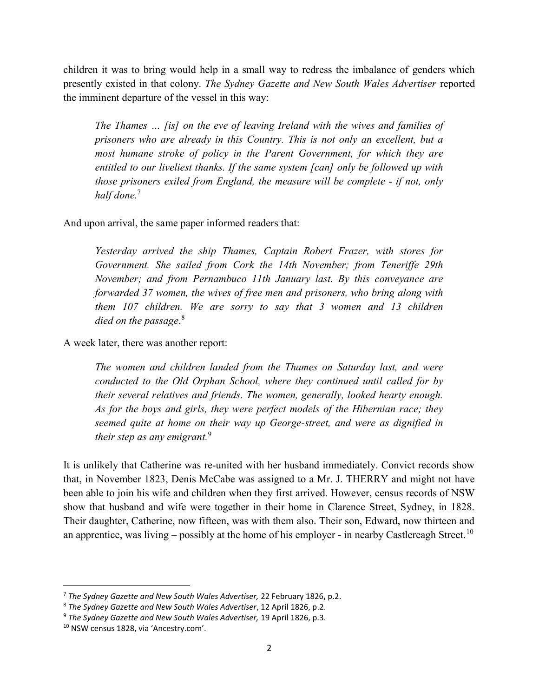children it was to bring would help in a small way to redress the imbalance of genders which presently existed in that colony. The Sydney Gazette and New South Wales Advertiser reported the imminent departure of the vessel in this way:

The Thames … [is] on the eve of leaving Ireland with the wives and families of prisoners who are already in this Country. This is not only an excellent, but a most humane stroke of policy in the Parent Government, for which they are entitled to our liveliest thanks. If the same system [can] only be followed up with those prisoners exiled from England, the measure will be complete - if not, only half done.<sup>7</sup>

And upon arrival, the same paper informed readers that:

Yesterday arrived the ship Thames, Captain Robert Frazer, with stores for Government. She sailed from Cork the 14th November; from Teneriffe 29th November; and from Pernambuco 11th January last. By this conveyance are forwarded 37 women, the wives of free men and prisoners, who bring along with them 107 children. We are sorry to say that 3 women and 13 children died on the passage.<sup>8</sup>

A week later, there was another report:

The women and children landed from the Thames on Saturday last, and were conducted to the Old Orphan School, where they continued until called for by their several relatives and friends. The women, generally, looked hearty enough. As for the boys and girls, they were perfect models of the Hibernian race; they seemed quite at home on their way up George-street, and were as dignified in their step as any emigrant.<sup>9</sup>

It is unlikely that Catherine was re-united with her husband immediately. Convict records show that, in November 1823, Denis McCabe was assigned to a Mr. J. THERRY and might not have been able to join his wife and children when they first arrived. However, census records of NSW show that husband and wife were together in their home in Clarence Street, Sydney, in 1828. Their daughter, Catherine, now fifteen, was with them also. Their son, Edward, now thirteen and an apprentice, was living – possibly at the home of his employer - in nearby Castlereagh Street.<sup>10</sup>

<sup>&</sup>lt;sup>7</sup> The Sydney Gazette and New South Wales Advertiser, 22 February 1826, p.2.

<sup>8</sup> The Sydney Gazette and New South Wales Advertiser, 12 April 1826, p.2.

<sup>&</sup>lt;sup>9</sup> The Sydney Gazette and New South Wales Advertiser, 19 April 1826, p.3.

<sup>10</sup> NSW census 1828, via 'Ancestry.com'.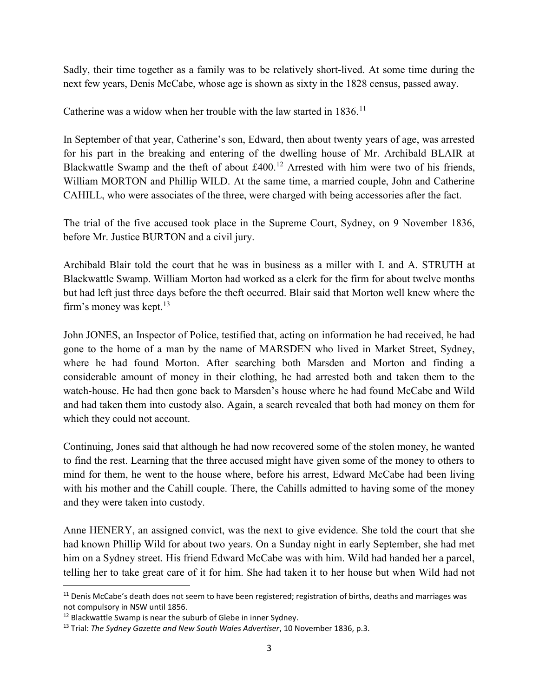Sadly, their time together as a family was to be relatively short-lived. At some time during the next few years, Denis McCabe, whose age is shown as sixty in the 1828 census, passed away.

Catherine was a widow when her trouble with the law started in 1836.<sup>11</sup>

In September of that year, Catherine's son, Edward, then about twenty years of age, was arrested for his part in the breaking and entering of the dwelling house of Mr. Archibald BLAIR at Blackwattle Swamp and the theft of about  $\text{\pounds}400$ .<sup>12</sup> Arrested with him were two of his friends, William MORTON and Phillip WILD. At the same time, a married couple, John and Catherine CAHILL, who were associates of the three, were charged with being accessories after the fact.

The trial of the five accused took place in the Supreme Court, Sydney, on 9 November 1836, before Mr. Justice BURTON and a civil jury.

Archibald Blair told the court that he was in business as a miller with I. and A. STRUTH at Blackwattle Swamp. William Morton had worked as a clerk for the firm for about twelve months but had left just three days before the theft occurred. Blair said that Morton well knew where the firm's money was kept. $13$ 

John JONES, an Inspector of Police, testified that, acting on information he had received, he had gone to the home of a man by the name of MARSDEN who lived in Market Street, Sydney, where he had found Morton. After searching both Marsden and Morton and finding a considerable amount of money in their clothing, he had arrested both and taken them to the watch-house. He had then gone back to Marsden's house where he had found McCabe and Wild and had taken them into custody also. Again, a search revealed that both had money on them for which they could not account.

Continuing, Jones said that although he had now recovered some of the stolen money, he wanted to find the rest. Learning that the three accused might have given some of the money to others to mind for them, he went to the house where, before his arrest, Edward McCabe had been living with his mother and the Cahill couple. There, the Cahills admitted to having some of the money and they were taken into custody.

Anne HENERY, an assigned convict, was the next to give evidence. She told the court that she had known Phillip Wild for about two years. On a Sunday night in early September, she had met him on a Sydney street. His friend Edward McCabe was with him. Wild had handed her a parcel, telling her to take great care of it for him. She had taken it to her house but when Wild had not

 $11$  Denis McCabe's death does not seem to have been registered; registration of births, deaths and marriages was not compulsory in NSW until 1856.

<sup>&</sup>lt;sup>12</sup> Blackwattle Swamp is near the suburb of Glebe in inner Sydney.

 $13$  Trial: The Sydney Gazette and New South Wales Advertiser, 10 November 1836, p.3.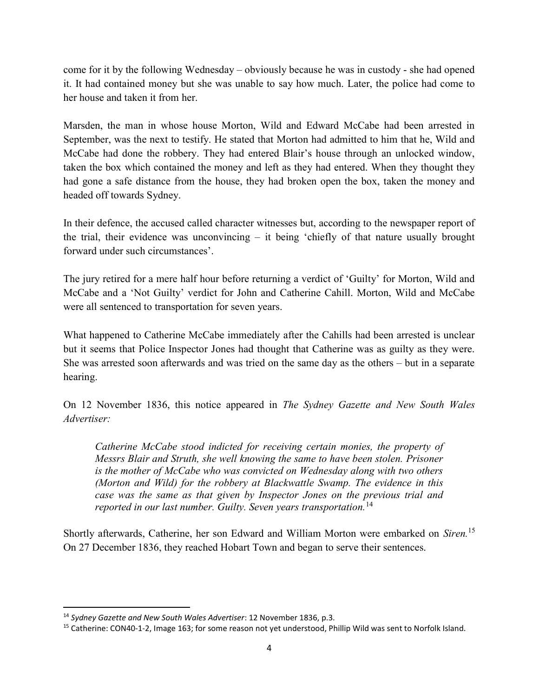come for it by the following Wednesday – obviously because he was in custody - she had opened it. It had contained money but she was unable to say how much. Later, the police had come to her house and taken it from her.

Marsden, the man in whose house Morton, Wild and Edward McCabe had been arrested in September, was the next to testify. He stated that Morton had admitted to him that he, Wild and McCabe had done the robbery. They had entered Blair's house through an unlocked window, taken the box which contained the money and left as they had entered. When they thought they had gone a safe distance from the house, they had broken open the box, taken the money and headed off towards Sydney.

In their defence, the accused called character witnesses but, according to the newspaper report of the trial, their evidence was unconvincing – it being 'chiefly of that nature usually brought forward under such circumstances'.

The jury retired for a mere half hour before returning a verdict of 'Guilty' for Morton, Wild and McCabe and a 'Not Guilty' verdict for John and Catherine Cahill. Morton, Wild and McCabe were all sentenced to transportation for seven years.

What happened to Catherine McCabe immediately after the Cahills had been arrested is unclear but it seems that Police Inspector Jones had thought that Catherine was as guilty as they were. She was arrested soon afterwards and was tried on the same day as the others – but in a separate hearing.

On 12 November 1836, this notice appeared in The Sydney Gazette and New South Wales Advertiser:

Catherine McCabe stood indicted for receiving certain monies, the property of Messrs Blair and Struth, she well knowing the same to have been stolen. Prisoner is the mother of McCabe who was convicted on Wednesday along with two others (Morton and Wild) for the robbery at Blackwattle Swamp. The evidence in this case was the same as that given by Inspector Jones on the previous trial and reported in our last number. Guilty. Seven years transportation.<sup>14</sup>

Shortly afterwards, Catherine, her son Edward and William Morton were embarked on Siren.<sup>15</sup> On 27 December 1836, they reached Hobart Town and began to serve their sentences.

 $\overline{a}$ 

<sup>&</sup>lt;sup>14</sup> Sydney Gazette and New South Wales Advertiser: 12 November 1836, p.3.

<sup>&</sup>lt;sup>15</sup> Catherine: CON40-1-2, Image 163; for some reason not yet understood, Phillip Wild was sent to Norfolk Island.